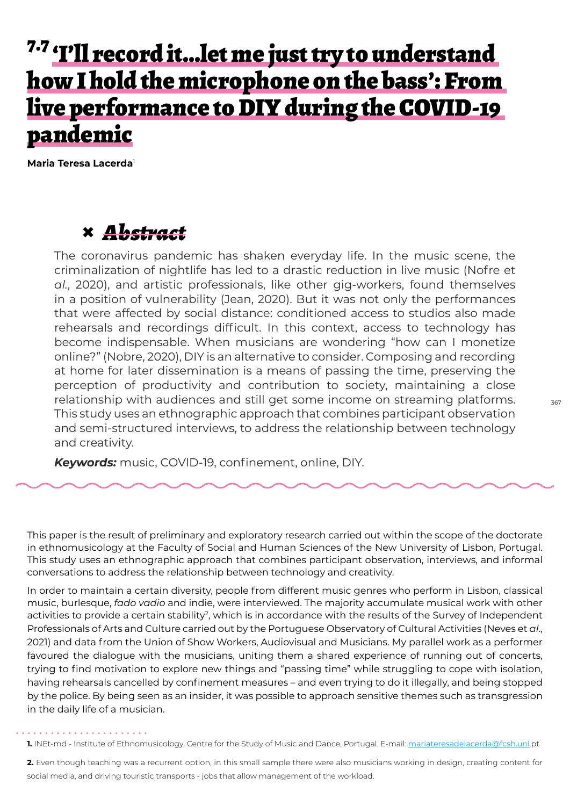# 7.7 <u>'I'll record it...let me just try to understand</u> how I hold the microphone on the bass': From live performance to DIY during the COVID-19 pandemic

**Maria Teresa Lacerda**<sup>1</sup>

### **×** *Abstract*

The coronavirus pandemic has shaken everyday life. In the music scene, the criminalization of nightlife has led to a drastic reduction in live music (Nofre et *al.*, 2020), and artistic professionals, like other gig-workers, found themselves in a position of vulnerability (Jean, 2020). But it was not only the performances that were affected by social distance: conditioned access to studios also made rehearsals and recordings difficult. In this context, access to technology has become indispensable. When musicians are wondering "how can I monetize online?" (Nobre, 2020), DIY is an alternative to consider. Composing and recording at home for later dissemination is a means of passing the time, preserving the perception of productivity and contribution to society, maintaining a close relationship with audiences and still get some income on streaming platforms. This study uses an ethnographic approach that combines participant observation and semi-structured interviews, to address the relationship between technology and creativity.

*Keywords:* music, COVID-19, confinement, online, DIY.

This paper is the result of preliminary and exploratory research carried out within the scope of the doctorate in ethnomusicology at the Faculty of Social and Human Sciences of the New University of Lisbon, Portugal. This study uses an ethnographic approach that combines participant observation, interviews, and informal conversations to address the relationship between technology and creativity.

In order to maintain a certain diversity, people from different music genres who perform in Lisbon, classical music, burlesque, *fado vadio* and indie, were interviewed. The majority accumulate musical work with other activities to provide a certain stability<sup>2</sup>, which is in accordance with the results of the Survey of Independent Professionals of Arts and Culture carried out by the Portuguese Observatory of Cultural Activities (Neves et *al*., 2021) and data from the Union of Show Workers, Audiovisual and Musicians. My parallel work as a performer favoured the dialogue with the musicians, uniting them a shared experience of running out of concerts, trying to find motivation to explore new things and "passing time" while struggling to cope with isolation, having rehearsals cancelled by confinement measures – and even trying to do it illegally, and being stopped by the police. By being seen as an insider, it was possible to approach sensitive themes such as transgression in the daily life of a musician.

1. INEt-md - Institute of Ethnomusicology, Centre for the Study of Music and Dance, Portugal. E-mail: mariateresadelacerda@fcsh.unl.pt

**2.** Even though teaching was a recurrent option, in this small sample there were also musicians working in design, creating content for social media, and driving touristic transports - jobs that allow management of the workload.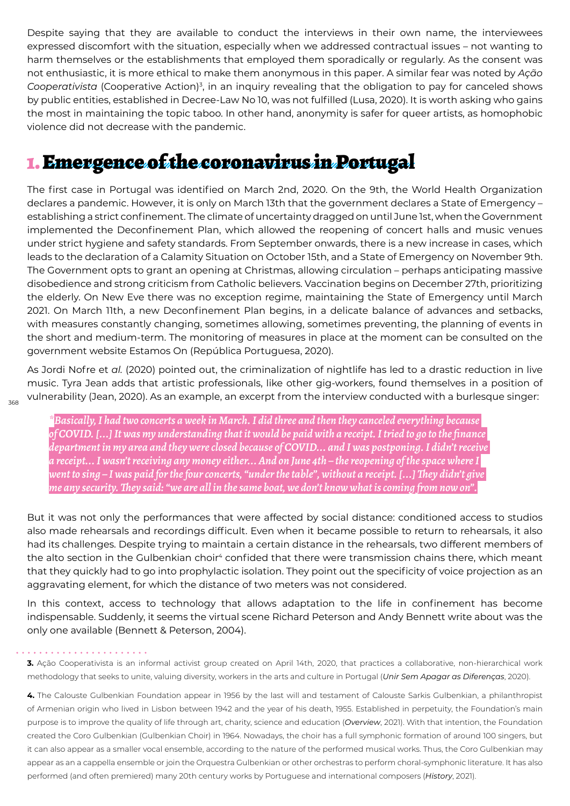Despite saying that they are available to conduct the interviews in their own name, the interviewees expressed discomfort with the situation, especially when we addressed contractual issues – not wanting to harm themselves or the establishments that employed them sporadically or regularly. As the consent was not enthusiastic, it is more ethical to make them anonymous in this paper. A similar fear was noted by *Ação Cooperativista* (Cooperative Action)<sup>3</sup> , in an inquiry revealing that the obligation to pay for canceled shows by public entities, established in Decree-Law No 10, was not fulfilled (Lusa, 2020). It is worth asking who gains the most in maintaining the topic taboo. In other hand, anonymity is safer for queer artists, as homophobic violence did not decrease with the pandemic.

### 1. Emergence of the coronavirus in Portugal

The first case in Portugal was identified on March 2nd, 2020. On the 9th, the World Health Organization declares a pandemic. However, it is only on March 13th that the government declares a State of Emergency – establishing a strict confinement. The climate of uncertainty dragged on until June 1st, when the Government implemented the Deconfinement Plan, which allowed the reopening of concert halls and music venues under strict hygiene and safety standards. From September onwards, there is a new increase in cases, which leads to the declaration of a Calamity Situation on October 15th, and a State of Emergency on November 9th. The Government opts to grant an opening at Christmas, allowing circulation – perhaps anticipating massive disobedience and strong criticism from Catholic believers. Vaccination begins on December 27th, prioritizing the elderly. On New Eve there was no exception regime, maintaining the State of Emergency until March 2021. On March 11th, a new Deconfinement Plan begins, in a delicate balance of advances and setbacks, with measures constantly changing, sometimes allowing, sometimes preventing, the planning of events in the short and medium-term. The monitoring of measures in place at the moment can be consulted on the government website Estamos On (República Portuguesa, 2020).

As Jordi Nofre et *al.* (2020) pointed out, the criminalization of nightlife has led to a drastic reduction in live music. Tyra Jean adds that artistic professionals, like other gig-workers, found themselves in a position of vulnerability (Jean, 2020). As an example, an excerpt from the interview conducted with a burlesque singer:

368

*\*Basically, I had two concerts a week in March. I did three and then they canceled everything because of COVID. [...] It was my understanding that it would be paid with a receipt. I tried to go to the finance department in my area and they were closed because of COVID... and I was postponing. I didn't receive a receipt... I wasn't receiving any money either... And on June 4th – the reopening of the space where I went to sing – I was paid for the four concerts, "under the table", without a receipt. [...] They didn't give me any security. They said: "we are all in the same boat, we don't know what is coming from now on".*

But it was not only the performances that were affected by social distance: conditioned access to studios also made rehearsals and recordings difficult. Even when it became possible to return to rehearsals, it also had its challenges. Despite trying to maintain a certain distance in the rehearsals, two different members of the alto section in the Gulbenkian choir<sup>4</sup> confided that there were transmission chains there, which meant that they quickly had to go into prophylactic isolation. They point out the specificity of voice projection as an aggravating element, for which the distance of two meters was not considered.

In this context, access to technology that allows adaptation to the life in confinement has become indispensable. Suddenly, it seems the virtual scene Richard Peterson and Andy Bennett write about was the only one available (Bennett & Peterson, 2004).

#### . . . . . . . . . . . . . . . **.**

**3.** Ação Cooperativista is an informal activist group created on April 14th, 2020, that practices a collaborative, non-hierarchical work methodology that seeks to unite, valuing diversity, workers in the arts and culture in Portugal (*Unir Sem Apagar as Diferenças*, 2020).

**4.** The Calouste Gulbenkian Foundation appear in 1956 by the last will and testament of Calouste Sarkis Gulbenkian, a philanthropist of Armenian origin who lived in Lisbon between 1942 and the year of his death, 1955. Established in perpetuity, the Foundation's main purpose is to improve the quality of life through art, charity, science and education (*Overview*, 2021). With that intention, the Foundation created the Coro Gulbenkian (Gulbenkian Choir) in 1964. Nowadays, the choir has a full symphonic formation of around 100 singers, but it can also appear as a smaller vocal ensemble, according to the nature of the performed musical works. Thus, the Coro Gulbenkian may appear as an a cappella ensemble or join the Orquestra Gulbenkian or other orchestras to perform choral-symphonic literature. It has also performed (and often premiered) many 20th century works by Portuguese and international composers (*History*, 2021).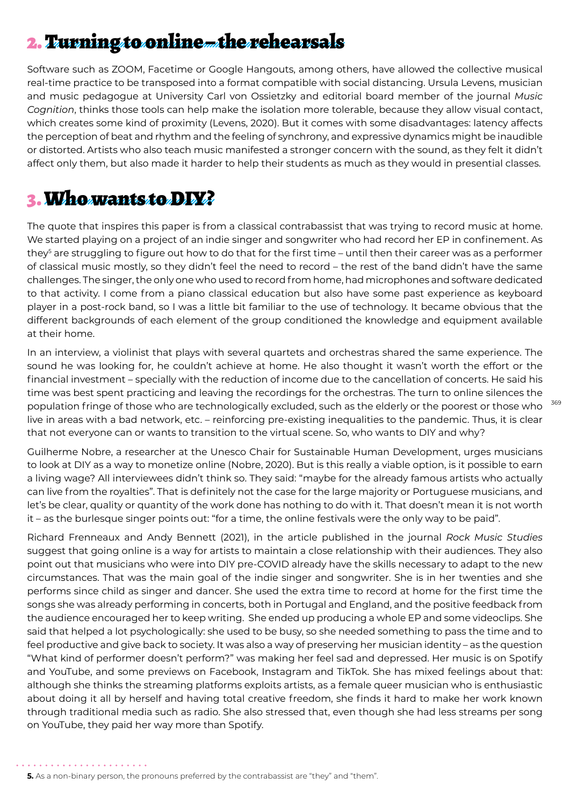## 2. Turning to online the rehearsals

Software such as ZOOM, Facetime or Google Hangouts, among others, have allowed the collective musical real-time practice to be transposed into a format compatible with social distancing. Ursula Levens, musician and music pedagogue at University Carl von Ossietzky and editorial board member of the journal *Music Cognition*, thinks those tools can help make the isolation more tolerable, because they allow visual contact, which creates some kind of proximity (Levens, 2020). But it comes with some disadvantages: latency affects the perception of beat and rhythm and the feeling of synchrony, and expressive dynamics might be inaudible or distorted. Artists who also teach music manifested a stronger concern with the sound, as they felt it didn't affect only them, but also made it harder to help their students as much as they would in presential classes.

#### 3. Who wants to DIY?

The quote that inspires this paper is from a classical contrabassist that was trying to record music at home. We started playing on a project of an indie singer and songwriter who had record her EP in confinement. As they<sup>s</sup> are struggling to figure out how to do that for the first time – until then their career was as a performer of classical music mostly, so they didn't feel the need to record – the rest of the band didn't have the same challenges. The singer, the only one who used to record from home, had microphones and software dedicated to that activity. I come from a piano classical education but also have some past experience as keyboard player in a post-rock band, so I was a little bit familiar to the use of technology. It became obvious that the different backgrounds of each element of the group conditioned the knowledge and equipment available at their home.

In an interview, a violinist that plays with several quartets and orchestras shared the same experience. The sound he was looking for, he couldn't achieve at home. He also thought it wasn't worth the effort or the financial investment – specially with the reduction of income due to the cancellation of concerts. He said his time was best spent practicing and leaving the recordings for the orchestras. The turn to online silences the population fringe of those who are technologically excluded, such as the elderly or the poorest or those who live in areas with a bad network, etc. – reinforcing pre-existing inequalities to the pandemic. Thus, it is clear that not everyone can or wants to transition to the virtual scene. So, who wants to DIY and why?

Guilherme Nobre, a researcher at the Unesco Chair for Sustainable Human Development, urges musicians to look at DIY as a way to monetize online (Nobre, 2020). But is this really a viable option, is it possible to earn a living wage? All interviewees didn't think so. They said: "maybe for the already famous artists who actually can live from the royalties". That is definitely not the case for the large majority or Portuguese musicians, and let's be clear, quality or quantity of the work done has nothing to do with it. That doesn't mean it is not worth it – as the burlesque singer points out: "for a time, the online festivals were the only way to be paid".

Richard Frenneaux and Andy Bennett (2021), in the article published in the journal *Rock Music Studies* suggest that going online is a way for artists to maintain a close relationship with their audiences. They also point out that musicians who were into DIY pre-COVID already have the skills necessary to adapt to the new circumstances. That was the main goal of the indie singer and songwriter. She is in her twenties and she performs since child as singer and dancer. She used the extra time to record at home for the first time the songs she was already performing in concerts, both in Portugal and England, and the positive feedback from the audience encouraged her to keep writing. She ended up producing a whole EP and some videoclips. She said that helped a lot psychologically: she used to be busy, so she needed something to pass the time and to feel productive and give back to society. It was also a way of preserving her musician identity – as the question "What kind of performer doesn't perform?" was making her feel sad and depressed. Her music is on Spotify and YouTube, and some previews on Facebook, Instagram and TikTok. She has mixed feelings about that: although she thinks the streaming platforms exploits artists, as a female queer musician who is enthusiastic about doing it all by herself and having total creative freedom, she finds it hard to make her work known through traditional media such as radio. She also stressed that, even though she had less streams per song on YouTube, they paid her way more than Spotify.

**<sup>5.</sup>** As a non-binary person, the pronouns preferred by the contrabassist are "they" and "them".